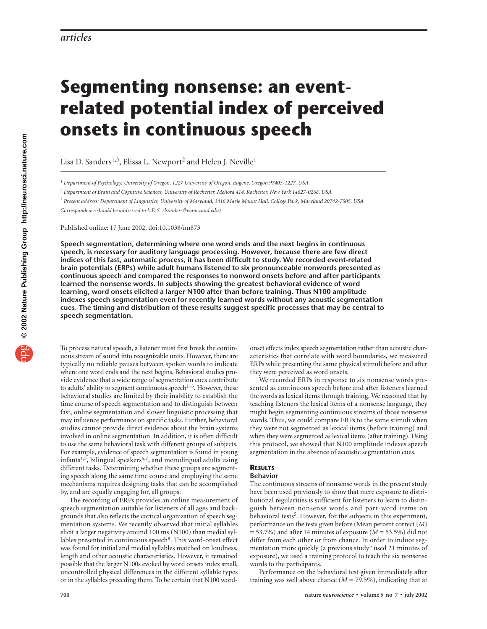# **Segmenting nonsense: an eventrelated potential index of perceived onsets in continuous speech**

Lisa D. Sanders<sup>1,3</sup>, Elissa L. Newport<sup>2</sup> and Helen J. Neville<sup>1</sup>

*<sup>1</sup> Department of Psychology, University of Oregon, 1227 University of Oregon, Eugene, Oregon 97403-1227, USA*

*<sup>2</sup> Department of Brain and Cognitive Sciences, University of Rochester, Meliora 414, Rochester, New York 14627-0268, USA*

*<sup>3</sup> Present address: Department of Linguistics, University of Maryland, 3416 Marie Mount Hall, College Park, Maryland 20742-7505, USA*

*Correspondence should be addressed to L.D.S. (lsanders@wam.umd.edu)*

Published online: 17 June 2002, doi:10.1038/nn873

**Speech segmentation, determining where one word ends and the next begins in continuous speech, is necessary for auditory language processing. However, because there are few direct indices of this fast, automatic process, it has been difficult to study. We recorded event-related brain potentials (ERPs) while adult humans listened to six pronounceable nonwords presented as continuous speech and compared the responses to nonword onsets before and after participants learned the nonsense words. In subjects showing the greatest behavioral evidence of word learning, word onsets elicited a larger N100 after than before training. Thus N100 amplitude indexes speech segmentation even for recently learned words without any acoustic segmentation cues. The timing and distribution of these results suggest specific processes that may be central to speech segmentation.**

To process natural speech, a listener must first break the continuous stream of sound into recognizable units. However, there are typically no reliable pauses between spoken words to indicate where one word ends and the next begins. Behavioral studies provide evidence that a wide range of segmentation cues contribute to adults' ability to segment continuous speech $1-3$ . However, these behavioral studies are limited by their inability to establish the time course of speech segmentation and to distinguish between fast, online segmentation and slower linguistic processing that may influence performance on specific tasks. Further, behavioral studies cannot provide direct evidence about the brain systems involved in online segmentation. In addition, it is often difficult to use the same behavioral task with different groups of subjects. For example, evidence of speech segmentation is found in young infants<sup>4,5</sup>, bilingual speakers<sup>6,7</sup>, and monolingual adults using different tasks. Determining whether these groups are segmenting speech along the same time course and employing the same mechanisms requires designing tasks that can be accomplished by, and are equally engaging for, all groups.

The recording of ERPs provides an online measurement of speech segmentation suitable for listeners of all ages and backgrounds that also reflects the cortical organization of speech segmentation systems. We recently observed that initial syllables elicit a larger negativity around 100 ms (N100) than medial syllables presented in continuous speech<sup>8</sup>. This word-onset effect was found for initial and medial syllables matched on loudness, length and other acoustic characteristics. However, it remained possible that the larger N100s evoked by word onsets index small, uncontrolled physical differences in the different syllable types or in the syllables preceding them. To be certain that N100 wordonset effects index speech segmentation rather than acoustic characteristics that correlate with word boundaries, we measured ERPs while presenting the same physical stimuli before and after they were perceived as word onsets.

We recorded ERPs in response to six nonsense words presented as continuous speech before and after listeners learned the words as lexical items through training. We reasoned that by teaching listeners the lexical items of a nonsense language, they might begin segmenting continuous streams of those nonsense words. Thus, we could compare ERPs to the same stimuli when they were not segmented as lexical items (before training) and when they were segmented as lexical items (after training). Using this protocol, we showed that N100 amplitude indexes speech segmentation in the absence of acoustic segmentation cues.

## **RESULTS**

# **Behavior**

The continuous streams of nonsense words in the present study have been used previously to show that mere exposure to distributional regularities is sufficient for listeners to learn to distinguish between nonsense words and part-word items on behavioral tests<sup>5</sup>. However, for the subjects in this experiment, performance on the tests given before (Mean percent correct (*M)* = 53.7%) and after 14 minutes of exposure (*M* = 53.5%) did not differ from each other or from chance. In order to induce segmentation more quickly (a previous study<sup>5</sup> used 21 minutes of exposure), we used a training protocol to teach the six nonsense words to the participants.

Performance on the behavioral test given immediately after training was well above chance  $(M = 79.5\%)$ , indicating that at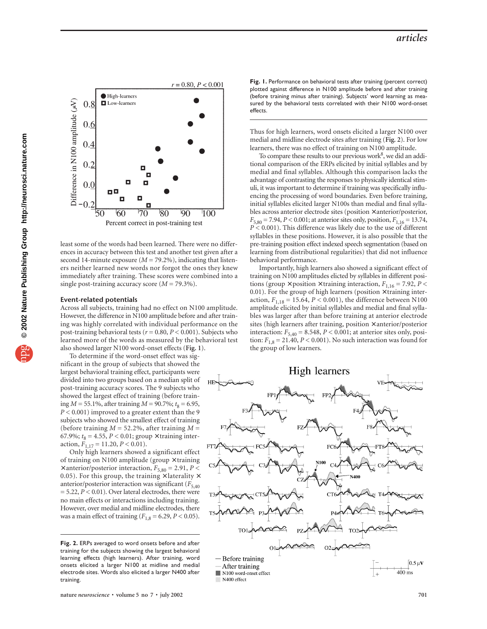

least some of the words had been learned. There were no differences in accuracy between this test and another test given after a second 14-minute exposure  $(M = 79.2\%)$ , indicating that listeners neither learned new words nor forgot the ones they knew immediately after training. These scores were combined into a single post-training accuracy score (*M* = 79.3%).

#### **Event-related potentials**

Across all subjects, training had no effect on N100 amplitude. However, the difference in N100 amplitude before and after training was highly correlated with individual performance on the post-training behavioral tests (*r* = 0.80, *P* < 0.001). Subjects who learned more of the words as measured by the behavioral test also showed larger N100 word-onset effects (**Fig. 1**).

To determine if the word-onset effect was significant in the group of subjects that showed the largest behavioral training effect, participants were divided into two groups based on a median split of post-training accuracy scores. The 9 subjects who showed the largest effect of training (before training  $M = 55.1\%$ , after training  $M = 90.7\%$ ;  $t_8 = 6.95$ , *P* < 0.001) improved to a greater extent than the 9 subjects who showed the smallest effect of training (before training *M* = 52.2%, after training *M* = 67.9%;  $t_8 = 4.55$ ,  $P < 0.01$ ; group  $\times$  training interaction,  $F_{1,17} = 11.20, P < 0.01$ .

Only high learners showed a significant effect of training on N100 amplitude (group  $\times$  training  $\times$  anterior/posterior interaction,  $F_{5,80} = 2.91, P <$ 0.05). For this group, the training  $\times$  laterality  $\times$ anterior/posterior interaction was significant ( $F_{5,40}$  $= 5.22, P < 0.01$ ). Over lateral electrodes, there were no main effects or interactions including training. However, over medial and midline electrodes, there was a main effect of training ( $F_{1,8} = 6.29, P < 0.05$ ).

Fig. 1. Performance on behavioral tests after training (percent correct) plotted against difference in N100 amplitude before and after training (before training minus after training). Subjects' word learning as measured by the behavioral tests correlated with their N100 word-onset effects.

Thus for high learners, word onsets elicited a larger N100 over medial and midline electrode sites after training (**Fig. 2**). For low learners, there was no effect of training on N100 amplitude.

To compare these results to our previous work<sup>8</sup>, we did an additional comparison of the ERPs elicited by initial syllables and by medial and final syllables. Although this comparison lacks the advantage of contrasting the responses to physically identical stimuli, it was important to determine if training was specifically influencing the processing of word boundaries. Even before training, initial syllables elicited larger N100s than medial and final syllables across anterior electrode sites (position × anterior/posterior,  $F_{5,80} = 7.94$ ,  $P < 0.001$ ; at anterior sites only, position,  $F_{1,16} = 13.74$ , *P* < 0.001). This difference was likely due to the use of different syllables in these positions. However, it is also possible that the pre-training position effect indexed speech segmentation (based on learning from distributional regularities) that did not influence behavioral performance.

Importantly, high learners also showed a significant effect of training on N100 amplitudes elicted by syllables in different positions (group  $\times$  position  $\times$  training interaction,  $F_{1,16} = 7.92$ ,  $P \lt$ 0.01). For the group of high learners (position  $\times$  training interaction,  $F_{1,18} = 15.64, P < 0.001$ ), the difference between N100 amplitude elicited by initial syllables and medial and final syllables was larger after than before training at anterior electrode sites (high learners after training, position × anterior/posterior interaction:  $F_{5,40} = 8.548$ ,  $P < 0.001$ ; at anterior sites only, position:  $F_{1,8} = 21.40, P < 0.001$ ). No such interaction was found for the group of low learners.



**nature** *neuroscience* • volume 5 no 7 • july 2002 **701** 

**Fig. 2.** ERPs averaged to word onsets before and after training for the subjects showing the largest behavioral learning effects (high learners). After training, word onsets elicited a larger N100 at midline and medial electrode sites. Words also elicited a larger N400 after training.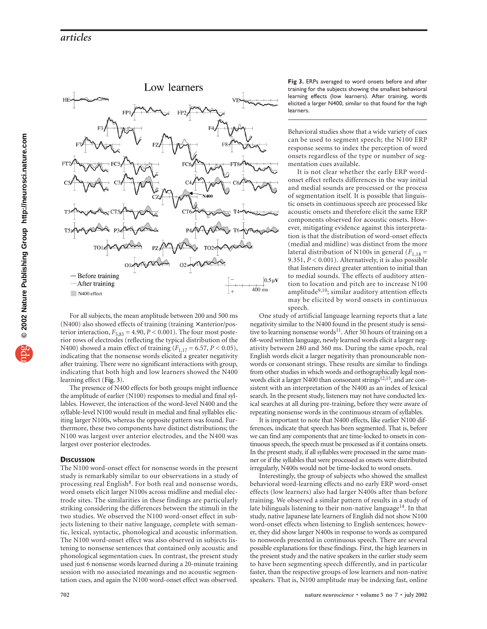

For all subjects, the mean amplitude between 200 and 500 ms (N400) also showed effects of training (training × anterior/posterior interaction,  $F_{5,85} = 4.90$ ,  $P < 0.001$ ). The four most posterior rows of electrodes (reflecting the typical distribution of the N400) showed a main effect of training (*F*1,17 = 6.57, *P* < 0.05), indicating that the nonsense words elicited a greater negativity after training. There were no significant interactions with group, indicating that both high and low learners showed the N400 learning effect (**Fig. 3**).

The presence of N400 effects for both groups might influence the amplitude of earlier (N100) responses to medial and final syllables. However, the interaction of the word-level N400 and the syllable-level N100 would result in medial and final syllables eliciting larger N100s, whereas the opposite pattern was found. Furthermore, these two components have distinct distributions; the N100 was largest over anterior electrodes, and the N400 was largest over posterior electrodes.

### **DISCUSSION**

The N100 word-onset effect for nonsense words in the present study is remarkably similar to our observations in a study of processing real English<sup>8</sup>. For both real and nonsense words, word onsets elicit larger N100s across midline and medial electrode sites. The similarities in these findings are particularly striking considering the differences between the stimuli in the two studies. We observed the N100 word-onset effect in subjects listening to their native language, complete with semantic, lexical, syntactic, phonological and acoustic information. The N100 word-onset effect was also observed in subjects listening to nonsense sentences that contained only acoustic and phonological segmentation cues. In contrast, the present study used just 6 nonsense words learned during a 20-minute training session with no associated meanings and no acoustic segmentation cues, and again the N100 word-onset effect was observed.

**Fig 3.** ERPs averaged to word onsets before and after training for the subjects showing the smallest behavioral learning effects (low learners). After training, words elicited a larger N400, similar to that found for the high learners.

Behavioral studies show that a wide variety of cues can be used to segment speech; the N100 ERP response seems to index the perception of word onsets regardless of the type or number of segmentation cues available.

It is not clear whether the early ERP wordonset effect reflects differences in the way initial and medial sounds are processed or the process of segmentation itself. It is possible that linguistic onsets in continuous speech are processed like acoustic onsets and therefore elicit the same ERP components observed for acoustic onsets. However, mitigating evidence against this interpretation is that the distribution of word-onset effects (medial and midline) was distinct from the more lateral distribution of N100s in general  $(F_{1,18} =$ 9.351, *P* < 0.001). Alternatively, it is also possible that listeners direct greater attention to initial than to medial sounds. The effects of auditory attention to location and pitch are to increase N100 amplitude<sup>9,10</sup>; similar auditory attention effects may be elicited by word onsets in continuous speech.

One study of artificial language learning reports that a late negativity similar to the N400 found in the present study is sensitive to learning nonsense words<sup>11</sup>. After 50 hours of training on a 68-word written language, newly learned words elicit a larger negativity between 280 and 360 ms. During the same epoch, real English words elicit a larger negativity than pronounceable nonwords or consonant strings. These results are similar to findings from other studies in which words and orthographically legal nonwords elicit a larger N400 than consonant strings<sup>12,13</sup>, and are consistent with an interpretation of the N400 as an index of lexical search. In the present study, listeners may not have conducted lexical searches at all during pre-training, before they were aware of repeating nonsense words in the continuous stream of syllables.

It is important to note that N400 effects, like earlier N100 differences, indicate that speech has been segmented. That is, before we can find any components that are time-locked to onsets in continuous speech, the speech must be processed as if it contains onsets. In the present study, if all syllables were processed in the same manner or if the syllables that were processed as onsets were distributed irregularly, N400s would not be time-locked to word onsets.

Interestingly, the group of subjects who showed the smallest behavioral word-learning effects and no early ERP word-onset effects (low learners) also had larger N400s after than before training. We observed a similar pattern of results in a study of late bilinguals listening to their non-native language<sup>14</sup>. In that study, native Japanese late learners of English did not show N100 word-onset effects when listening to English sentences; however, they did show larger N400s in response to words as compared to nonwords presented in continuous speech. There are several possible explanations for these findings. First, the high learners in the present study and the native speakers in the earlier study seem to have been segmenting speech differently, and in particular faster, than the respective groups of low learners and non-native speakers. That is, N100 amplitude may be indexing fast, online